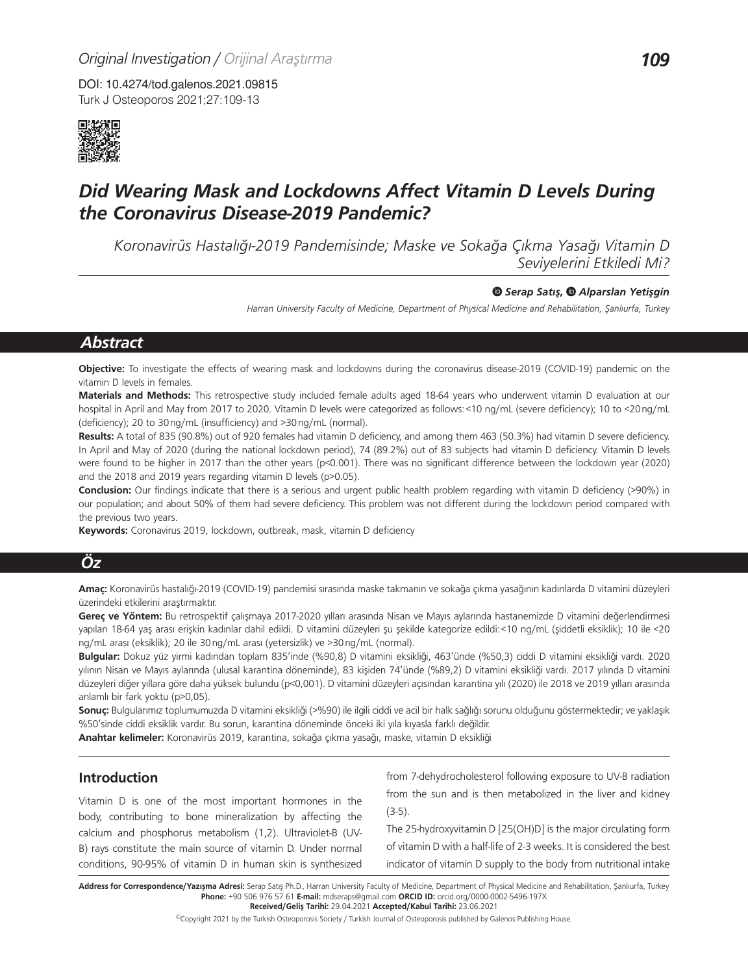DOI: 10.4274/tod.galenos.2021.09815 Turk J Osteoporos 2021;27:109-13



# *Did Wearing Mask and Lockdowns Affect Vitamin D Levels During the Coronavirus Disease-2019 Pandemic?*

*Koronavirüs Hastalığı-2019 Pandemisinde; Maske ve Sokağa Çıkma Yasağı Vitamin D Seviyelerini Etkiledi Mi?*

#### *Serap Satış,Alparslan Yetişgin*

*Harran University Faculty of Medicine, Department of Physical Medicine and Rehabilitation, Şanlıurfa, Turkey*

# *Abstract*

**Objective:** To investigate the effects of wearing mask and lockdowns during the coronavirus disease-2019 (COVID-19) pandemic on the vitamin D levels in females.

**Materials and Methods:** This retrospective study included female adults aged 18-64 years who underwent vitamin D evaluation at our hospital in April and May from 2017 to 2020. Vitamin D levels were categorized as follows:<10 ng/mL (severe deficiency); 10 to <20ng/mL (deficiency); 20 to 30ng/mL (insufficiency) and >30ng/mL (normal).

**Results:** A total of 835 (90.8%) out of 920 females had vitamin D deficiency, and among them 463 (50.3%) had vitamin D severe deficiency. In April and May of 2020 (during the national lockdown period), 74 (89.2%) out of 83 subjects had vitamin D deficiency. Vitamin D levels were found to be higher in 2017 than the other years (p<0.001). There was no significant difference between the lockdown year (2020) and the 2018 and 2019 years regarding vitamin D levels (p>0.05).

**Conclusion:** Our findings indicate that there is a serious and urgent public health problem regarding with vitamin D deficiency (>90%) in our population; and about 50% of them had severe deficiency. This problem was not different during the lockdown period compared with the previous two years.

**Keywords:** Coronavirus 2019, lockdown, outbreak, mask, vitamin D deficiency

# *Öz*

**Amaç:** Koronavirüs hastalığı-2019 (COVID-19) pandemisi sırasında maske takmanın ve sokağa çıkma yasağının kadınlarda D vitamini düzeyleri üzerindeki etkilerini araştırmaktır.

**Gereç ve Yöntem:** Bu retrospektif çalışmaya 2017-2020 yılları arasında Nisan ve Mayıs aylarında hastanemizde D vitamini değerlendirmesi yapılan 18-64 yaş arası erişkin kadınlar dahil edildi. D vitamini düzeyleri şu şekilde kategorize edildi:<10 ng/mL (şiddetli eksiklik); 10 ile <20 ng/mL arası (eksiklik); 20 ile 30ng/mL arası (yetersizlik) ve >30ng/mL (normal).

**Bulgular:** Dokuz yüz yirmi kadından toplam 835'inde (%90,8) D vitamini eksikliği, 463'ünde (%50,3) ciddi D vitamini eksikliği vardı. 2020 yılının Nisan ve Mayıs aylarında (ulusal karantina döneminde), 83 kişiden 74'ünde (%89,2) D vitamini eksikliği vardı. 2017 yılında D vitamini düzeyleri diğer yıllara göre daha yüksek bulundu (p<0,001). D vitamini düzeyleri açısından karantina yılı (2020) ile 2018 ve 2019 yılları arasında anlamlı bir fark yoktu (p>0,05).

**Sonuç:** Bulgularımız toplumumuzda D vitamini eksikliği (>%90) ile ilgili ciddi ve acil bir halk sağlığı sorunu olduğunu göstermektedir; ve yaklaşık %50'sinde ciddi eksiklik vardır. Bu sorun, karantina döneminde önceki iki yıla kıyasla farklı değildir.

**Anahtar kelimeler:** Koronavirüs 2019, karantina, sokağa çıkma yasağı, maske, vitamin D eksikliği

### **Introduction**

Vitamin D is one of the most important hormones in the body, contributing to bone mineralization by affecting the calcium and phosphorus metabolism (1,2). Ultraviolet-B (UV-B) rays constitute the main source of vitamin D. Under normal conditions, 90-95% of vitamin D in human skin is synthesized from 7-dehydrocholesterol following exposure to UV-B radiation from the sun and is then metabolized in the liver and kidney (3-5).

The 25-hydroxyvitamin D [25(OH)D] is the major circulating form of vitamin D with a half-life of 2-3 weeks. It is considered the best indicator of vitamin D supply to the body from nutritional intake

Address for Correspondence/Yazışma Adresi: Serap Satış Ph.D., Harran University Faculty of Medicine, Department of Physical Medicine and Rehabilitation, Şanlıurfa, Turkey **Phone:** +90 506 976 57 61 **E-mail:** mdseraps@gmail.com **ORCID ID:** orcid.org/0000-0002-5496-197X **Received/Geliş Tarihi:** 29.04.2021 **Accepted/Kabul Tarihi:** 23.06.2021

©Copyright 2021 by the Turkish Osteoporosis Society / Turkish Journal of Osteoporosis published by Galenos Publishing House.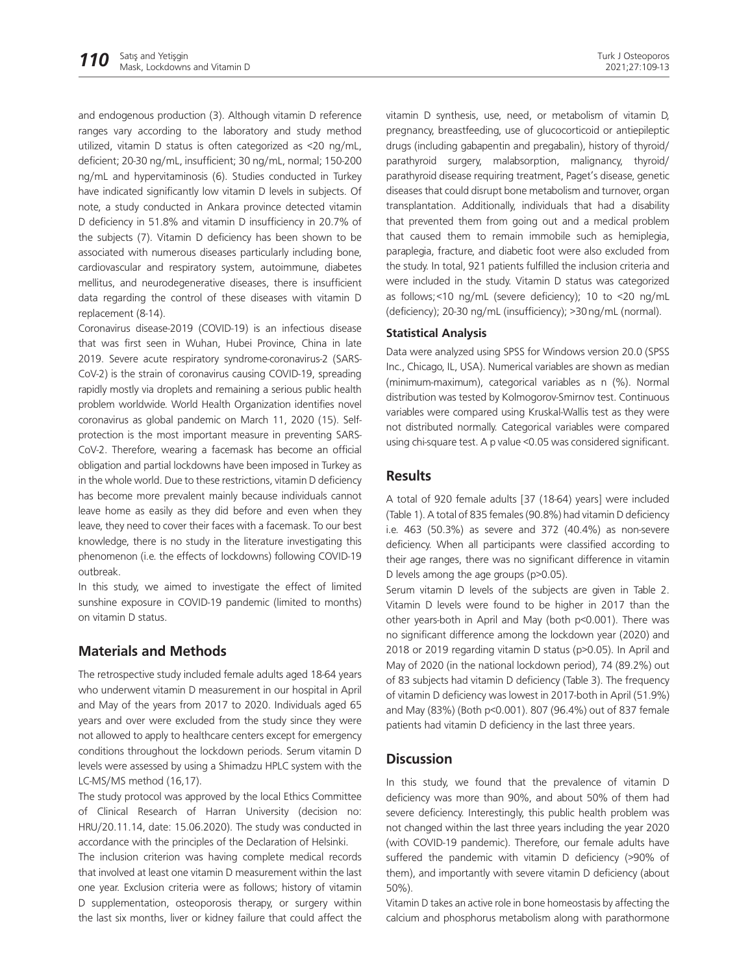and endogenous production (3). Although vitamin D reference ranges vary according to the laboratory and study method utilized, vitamin D status is often categorized as <20 ng/mL, deficient; 20-30 ng/mL, insufficient; 30 ng/mL, normal; 150-200 ng/mL and hypervitaminosis (6). Studies conducted in Turkey have indicated significantly low vitamin D levels in subjects. Of note, a study conducted in Ankara province detected vitamin D deficiency in 51.8% and vitamin D insufficiency in 20.7% of the subjects (7). Vitamin D deficiency has been shown to be associated with numerous diseases particularly including bone, cardiovascular and respiratory system, autoimmune, diabetes mellitus, and neurodegenerative diseases, there is insufficient data regarding the control of these diseases with vitamin D replacement (8-14).

Coronavirus disease-2019 (COVID-19) is an infectious disease that was first seen in Wuhan, Hubei Province, China in late 2019. Severe acute respiratory syndrome-coronavirus-2 (SARS-CoV-2) is the strain of coronavirus causing COVID-19, spreading rapidly mostly via droplets and remaining a serious public health problem worldwide. World Health Organization identifies novel coronavirus as global pandemic on March 11, 2020 (15). Selfprotection is the most important measure in preventing SARS-CoV-2. Therefore, wearing a facemask has become an official obligation and partial lockdowns have been imposed in Turkey as in the whole world. Due to these restrictions, vitamin D deficiency has become more prevalent mainly because individuals cannot leave home as easily as they did before and even when they leave, they need to cover their faces with a facemask. To our best knowledge, there is no study in the literature investigating this phenomenon (i.e. the effects of lockdowns) following COVID-19 outbreak.

In this study, we aimed to investigate the effect of limited sunshine exposure in COVID-19 pandemic (limited to months) on vitamin D status.

### **Materials and Methods**

The retrospective study included female adults aged 18-64 years who underwent vitamin D measurement in our hospital in April and May of the years from 2017 to 2020. Individuals aged 65 years and over were excluded from the study since they were not allowed to apply to healthcare centers except for emergency conditions throughout the lockdown periods. Serum vitamin D levels were assessed by using a Shimadzu HPLC system with the LC-MS/MS method (16,17).

The study protocol was approved by the local Ethics Committee of Clinical Research of Harran University (decision no: HRU/20.11.14, date: 15.06.2020). The study was conducted in accordance with the principles of the Declaration of Helsinki.

The inclusion criterion was having complete medical records that involved at least one vitamin D measurement within the last one year. Exclusion criteria were as follows; history of vitamin D supplementation, osteoporosis therapy, or surgery within the last six months, liver or kidney failure that could affect the

vitamin D synthesis, use, need, or metabolism of vitamin D, pregnancy, breastfeeding, use of glucocorticoid or antiepileptic drugs (including gabapentin and pregabalin), history of thyroid/ parathyroid surgery, malabsorption, malignancy, thyroid/ parathyroid disease requiring treatment, Paget's disease, genetic diseases that could disrupt bone metabolism and turnover, organ transplantation. Additionally, individuals that had a disability that prevented them from going out and a medical problem that caused them to remain immobile such as hemiplegia, paraplegia, fracture, and diabetic foot were also excluded from the study. In total, 921 patients fulfilled the inclusion criteria and were included in the study. Vitamin D status was categorized as follows;<10 ng/mL (severe deficiency); 10 to <20 ng/mL (deficiency); 20-30 ng/mL (insufficiency); >30ng/mL (normal).

#### **Statistical Analysis**

Data were analyzed using SPSS for Windows version 20.0 (SPSS Inc., Chicago, IL, USA). Numerical variables are shown as median (minimum-maximum), categorical variables as n (%). Normal distribution was tested by Kolmogorov-Smirnov test. Continuous variables were compared using Kruskal-Wallis test as they were not distributed normally. Categorical variables were compared using chi-square test. A p value <0.05 was considered significant.

### **Results**

A total of 920 female adults [37 (18-64) years] were included (Table 1). A total of 835 females (90.8%) had vitamin D deficiency i.e. 463 (50.3%) as severe and 372 (40.4%) as non-severe deficiency. When all participants were classified according to their age ranges, there was no significant difference in vitamin D levels among the age groups (p>0.05).

Serum vitamin D levels of the subjects are given in Table 2. Vitamin D levels were found to be higher in 2017 than the other years-both in April and May (both p<0.001). There was no significant difference among the lockdown year (2020) and 2018 or 2019 regarding vitamin D status (p>0.05). In April and May of 2020 (in the national lockdown period), 74 (89.2%) out of 83 subjects had vitamin D deficiency (Table 3). The frequency of vitamin D deficiency was lowest in 2017-both in April (51.9%) and May (83%) (Both p<0.001). 807 (96.4%) out of 837 female patients had vitamin D deficiency in the last three years.

### **Discussion**

In this study, we found that the prevalence of vitamin D deficiency was more than 90%, and about 50% of them had severe deficiency. Interestingly, this public health problem was not changed within the last three years including the year 2020 (with COVID-19 pandemic). Therefore, our female adults have suffered the pandemic with vitamin D deficiency (>90% of them), and importantly with severe vitamin D deficiency (about 50%).

Vitamin D takes an active role in bone homeostasis by affecting the calcium and phosphorus metabolism along with parathormone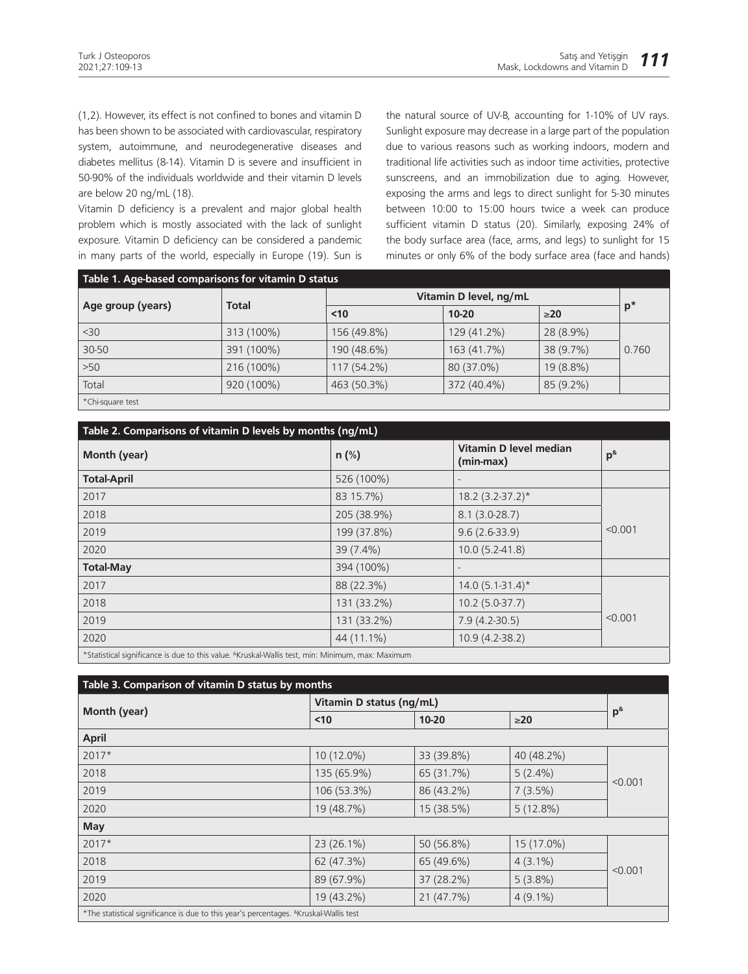(1,2). However, its effect is not confined to bones and vitamin D has been shown to be associated with cardiovascular, respiratory system, autoimmune, and neurodegenerative diseases and diabetes mellitus (8-14). Vitamin D is severe and insufficient in 50-90% of the individuals worldwide and their vitamin D levels are below 20 ng/mL (18).

Vitamin D deficiency is a prevalent and major global health problem which is mostly associated with the lack of sunlight exposure. Vitamin D deficiency can be considered a pandemic in many parts of the world, especially in Europe (19). Sun is

the natural source of UV-B, accounting for 1-10% of UV rays. Sunlight exposure may decrease in a large part of the population due to various reasons such as working indoors, modern and traditional life activities such as indoor time activities, protective sunscreens, and an immobilization due to aging. However, exposing the arms and legs to direct sunlight for 5-30 minutes between 10:00 to 15:00 hours twice a week can produce sufficient vitamin D status (20). Similarly, exposing 24% of the body surface area (face, arms, and legs) to sunlight for 15 minutes or only 6% of the body surface area (face and hands)

| Table 1. Age-based comparisons for vitamin D status |              |                        |             |           |       |  |  |  |
|-----------------------------------------------------|--------------|------------------------|-------------|-----------|-------|--|--|--|
| Age group (years)                                   | <b>Total</b> | Vitamin D level, ng/mL |             |           |       |  |  |  |
|                                                     |              | $10$                   | $10 - 20$   | $\geq 20$ | $p^*$ |  |  |  |
| $30$                                                | 313 (100%)   | 156 (49.8%)            | 129 (41.2%) | 28 (8.9%) |       |  |  |  |
| 30-50                                               | 391 (100%)   | 190 (48.6%)            | 163 (41.7%) | 38 (9.7%) | 0.760 |  |  |  |
| $>50$                                               | 216 (100%)   | 117 (54.2%)            | 80 (37.0%)  | 19 (8.8%) |       |  |  |  |
| Total                                               | 920 (100%)   | 463 (50.3%)            | 372 (40.4%) | 85 (9.2%) |       |  |  |  |
| *Chi-square test                                    |              |                        |             |           |       |  |  |  |

| Table 2. Comparisons of vitamin D levels by months (ng/mL)                                                       |             |                                     |          |  |  |  |  |
|------------------------------------------------------------------------------------------------------------------|-------------|-------------------------------------|----------|--|--|--|--|
| Month (year)                                                                                                     | $n$ (%)     | Vitamin D level median<br>(min-max) | $p^{\&}$ |  |  |  |  |
| <b>Total-April</b>                                                                                               | 526 (100%)  |                                     |          |  |  |  |  |
| 2017                                                                                                             | 83 15.7%)   | $18.2 (3.2 - 37.2)^*$               |          |  |  |  |  |
| 2018                                                                                                             | 205 (38.9%) | $8.1(3.0-28.7)$                     |          |  |  |  |  |
| 2019                                                                                                             | 199 (37.8%) | $9.6(2.6-33.9)$                     | < 0.001  |  |  |  |  |
| 2020                                                                                                             | 39 (7.4%)   | $10.0(5.2-41.8)$                    |          |  |  |  |  |
| <b>Total-May</b>                                                                                                 | 394 (100%)  |                                     |          |  |  |  |  |
| 2017                                                                                                             | 88 (22.3%)  | $14.0(5.1-31.4)^{*}$                |          |  |  |  |  |
| 2018                                                                                                             | 131 (33.2%) | $10.2(5.0-37.7)$                    |          |  |  |  |  |
| 2019                                                                                                             | 131 (33.2%) | $7.9(4.2-30.5)$                     | < 0.001  |  |  |  |  |
| 2020                                                                                                             | 44 (11.1%)  | $10.9(4.2-38.2)$                    |          |  |  |  |  |
| *Statistical significance is due to this value. <sup>&amp;</sup> Kruskal-Wallis test, min: Minimum, max: Maximum |             |                                     |          |  |  |  |  |

| Table 3. Comparison of vitamin D status by months                                                     |                          |            |             |          |  |  |  |  |
|-------------------------------------------------------------------------------------------------------|--------------------------|------------|-------------|----------|--|--|--|--|
|                                                                                                       | Vitamin D status (ng/mL) |            |             |          |  |  |  |  |
| Month (year)                                                                                          | $10$                     | $10 - 20$  | $\geq$ 20   | $p^{\&}$ |  |  |  |  |
| <b>April</b>                                                                                          |                          |            |             |          |  |  |  |  |
| $2017*$                                                                                               | 10 (12.0%)               | 33 (39.8%) | 40 (48.2%)  | < 0.001  |  |  |  |  |
| 2018                                                                                                  | 135 (65.9%)              | 65 (31.7%) | $5(2.4\%)$  |          |  |  |  |  |
| 2019                                                                                                  | 106 (53.3%)              | 86 (43.2%) | $7(3.5\%)$  |          |  |  |  |  |
| 2020                                                                                                  | 19 (48.7%)               | 15 (38.5%) | $5(12.8\%)$ |          |  |  |  |  |
| <b>May</b>                                                                                            |                          |            |             |          |  |  |  |  |
| $2017*$                                                                                               | 23 (26.1%)               | 50 (56.8%) | 15 (17.0%)  | < 0.001  |  |  |  |  |
| 2018                                                                                                  | 62 (47.3%)               | 65 (49.6%) | $4(3.1\%)$  |          |  |  |  |  |
| 2019                                                                                                  | 89 (67.9%)               | 37 (28.2%) | $5(3.8\%)$  |          |  |  |  |  |
| 2020                                                                                                  | 19 (43.2%)               | 21 (47.7%) | $4(9.1\%)$  |          |  |  |  |  |
| *The statistical significance is due to this year's percentages. <sup>&amp;</sup> Kruskal-Wallis test |                          |            |             |          |  |  |  |  |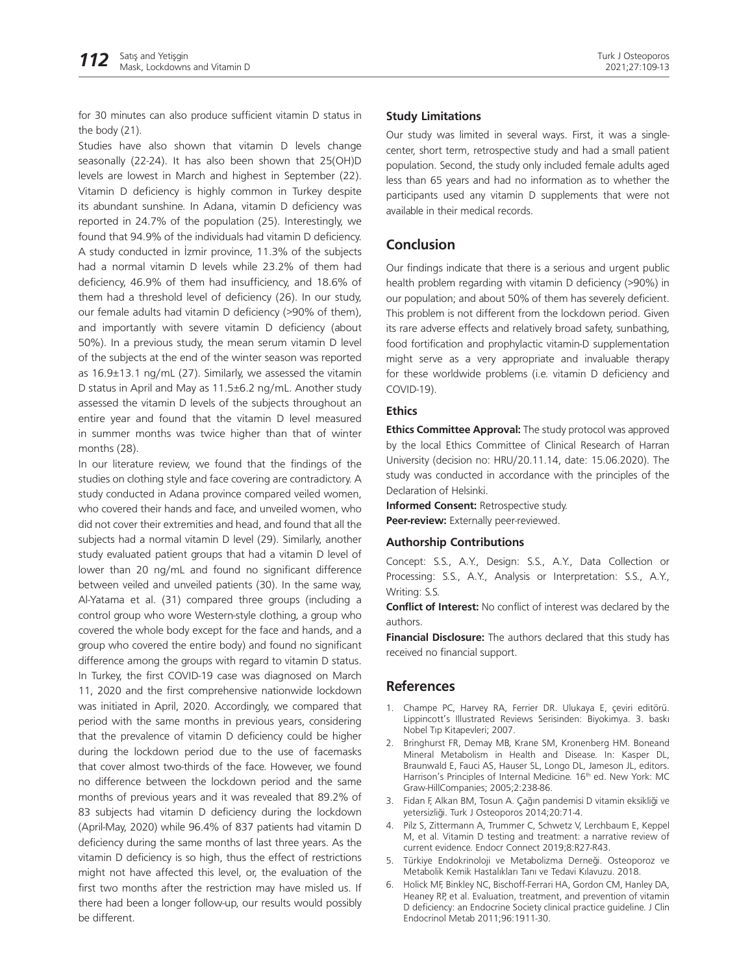for 30 minutes can also produce sufficient vitamin D status in the body (21).

Studies have also shown that vitamin D levels change seasonally (22-24). It has also been shown that 25(OH)D levels are lowest in March and highest in September (22). Vitamin D deficiency is highly common in Turkey despite its abundant sunshine. In Adana, vitamin D deficiency was reported in 24.7% of the population (25). Interestingly, we found that 94.9% of the individuals had vitamin D deficiency. A study conducted in İzmir province, 11.3% of the subjects had a normal vitamin D levels while 23.2% of them had deficiency, 46.9% of them had insufficiency, and 18.6% of them had a threshold level of deficiency (26). In our study, our female adults had vitamin D deficiency (>90% of them), and importantly with severe vitamin D deficiency (about 50%). In a previous study, the mean serum vitamin D level of the subjects at the end of the winter season was reported as 16.9±13.1 ng/mL (27). Similarly, we assessed the vitamin D status in April and May as 11.5±6.2 ng/mL. Another study assessed the vitamin D levels of the subjects throughout an entire year and found that the vitamin D level measured in summer months was twice higher than that of winter months (28).

In our literature review, we found that the findings of the studies on clothing style and face covering are contradictory. A study conducted in Adana province compared veiled women, who covered their hands and face, and unveiled women, who did not cover their extremities and head, and found that all the subjects had a normal vitamin D level (29). Similarly, another study evaluated patient groups that had a vitamin D level of lower than 20 ng/mL and found no significant difference between veiled and unveiled patients (30). In the same way, Al-Yatama et al. (31) compared three groups (including a control group who wore Western-style clothing, a group who covered the whole body except for the face and hands, and a group who covered the entire body) and found no significant difference among the groups with regard to vitamin D status. In Turkey, the first COVID-19 case was diagnosed on March 11, 2020 and the first comprehensive nationwide lockdown was initiated in April, 2020. Accordingly, we compared that period with the same months in previous years, considering that the prevalence of vitamin D deficiency could be higher during the lockdown period due to the use of facemasks that cover almost two-thirds of the face. However, we found no difference between the lockdown period and the same months of previous years and it was revealed that 89.2% of 83 subjects had vitamin D deficiency during the lockdown (April-May, 2020) while 96.4% of 837 patients had vitamin D deficiency during the same months of last three years. As the vitamin D deficiency is so high, thus the effect of restrictions might not have affected this level, or, the evaluation of the first two months after the restriction may have misled us. If there had been a longer follow-up, our results would possibly be different.

#### **Study Limitations**

Our study was limited in several ways. First, it was a singlecenter, short term, retrospective study and had a small patient population. Second, the study only included female adults aged less than 65 years and had no information as to whether the participants used any vitamin D supplements that were not available in their medical records.

### **Conclusion**

Our findings indicate that there is a serious and urgent public health problem regarding with vitamin D deficiency (>90%) in our population; and about 50% of them has severely deficient. This problem is not different from the lockdown period. Given its rare adverse effects and relatively broad safety, sunbathing, food fortification and prophylactic vitamin-D supplementation might serve as a very appropriate and invaluable therapy for these worldwide problems (i.e. vitamin D deficiency and COVID-19).

#### **Ethics**

**Ethics Committee Approval:** The study protocol was approved by the local Ethics Committee of Clinical Research of Harran University (decision no: HRU/20.11.14, date: 15.06.2020). The study was conducted in accordance with the principles of the Declaration of Helsinki.

**Informed Consent:** Retrospective study. **Peer-review:** Externally peer-reviewed.

#### **Authorship Contributions**

Concept: S.S., A.Y., Design: S.S., A.Y., Data Collection or Processing: S.S., A.Y., Analysis or Interpretation: S.S., A.Y., Writing: S.S.

**Conflict of Interest:** No conflict of interest was declared by the authors.

**Financial Disclosure:** The authors declared that this study has received no financial support.

### **References**

- 1. Champe PC, Harvey RA, Ferrier DR. Ulukaya E, çeviri editörü. Lippincott's Illustrated Reviews Serisinden: Biyokimya. 3. baskı Nobel Tıp Kitapevleri; 2007.
- 2. Bringhurst FR, Demay MB, Krane SM, Kronenberg HM. Boneand Mineral Metabolism in Health and Disease. In: Kasper DL, Braunwald E, Fauci AS, Hauser SL, Longo DL, Jameson JL, editors. Harrison's Principles of Internal Medicine. 16<sup>th</sup> ed. New York: MC Graw-HillCompanies; 2005;2:238-86.
- 3. Fidan F, Alkan BM, Tosun A. Çağın pandemisi D vitamin eksikliği ve yetersizliği. Turk J Osteoporos 2014;20:71-4.
- 4. Pilz S, Zittermann A, Trummer C, Schwetz V, Lerchbaum E, Keppel M, et al. Vitamin D testing and treatment: a narrative review of current evidence. Endocr Connect 2019;8:R27-R43.
- 5. Türkiye Endokrinoloji ve Metabolizma Derneği. Osteoporoz ve Metabolik Kemik Hastalıkları Tanı ve Tedavi Kılavuzu. 2018.
- 6. Holick MF, Binkley NC, Bischoff-Ferrari HA, Gordon CM, Hanley DA, Heaney RP, et al. Evaluation, treatment, and prevention of vitamin D deficiency: an Endocrine Society clinical practice guideline. J Clin Endocrinol Metab 2011;96:1911-30.